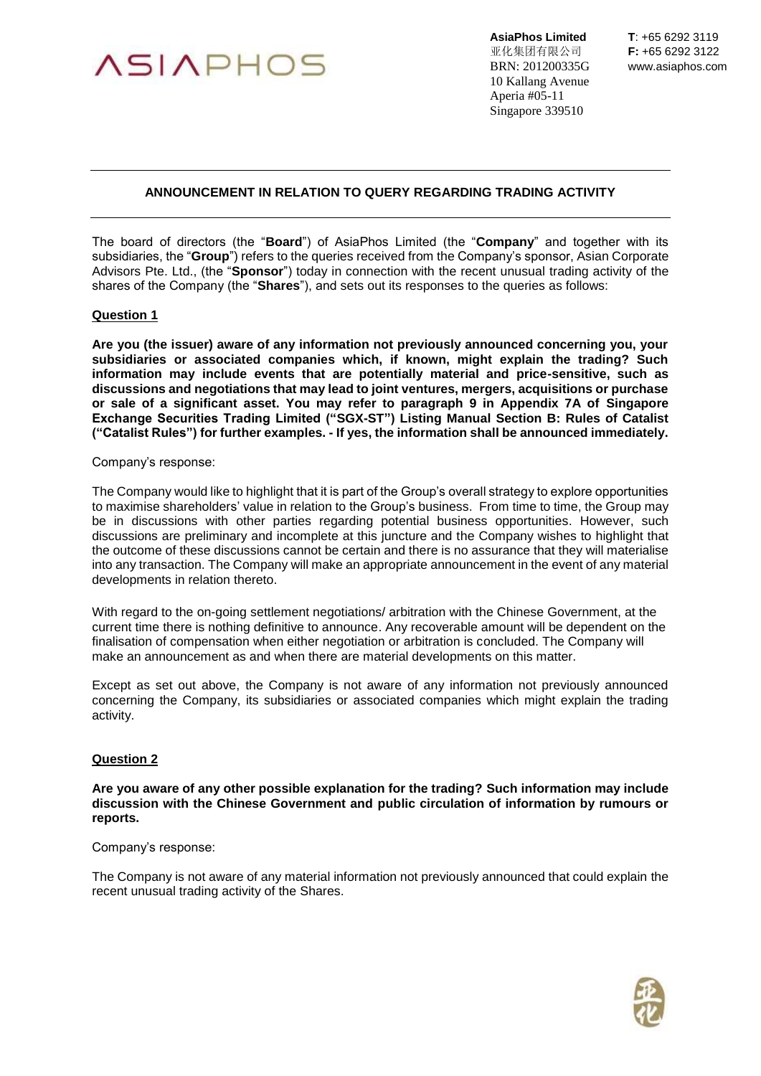

**AsiaPhos Limited T**: +65 6292 3119 亚化集团有限公司 **F:** +65 6292 3122 BRN: 201200335G www.asiaphos.com 10 Kallang Avenue Aperia #05-11 Singapore 339510

# **ANNOUNCEMENT IN RELATION TO QUERY REGARDING TRADING ACTIVITY**

The board of directors (the "**Board**") of AsiaPhos Limited (the "**Company**" and together with its subsidiaries, the "**Group**") refers to the queries received from the Company's sponsor, Asian Corporate Advisors Pte. Ltd., (the "**Sponsor**") today in connection with the recent unusual trading activity of the shares of the Company (the "**Shares**"), and sets out its responses to the queries as follows:

### **Question 1**

**Are you (the issuer) aware of any information not previously announced concerning you, your subsidiaries or associated companies which, if known, might explain the trading? Such information may include events that are potentially material and price-sensitive, such as discussions and negotiations that may lead to joint ventures, mergers, acquisitions or purchase or sale of a significant asset. You may refer to paragraph 9 in Appendix 7A of Singapore Exchange Securities Trading Limited ("SGX-ST") Listing Manual Section B: Rules of Catalist ("Catalist Rules") for further examples. - If yes, the information shall be announced immediately.**

### Company's response:

The Company would like to highlight that it is part of the Group's overall strategy to explore opportunities to maximise shareholders' value in relation to the Group's business. From time to time, the Group may be in discussions with other parties regarding potential business opportunities. However, such discussions are preliminary and incomplete at this juncture and the Company wishes to highlight that the outcome of these discussions cannot be certain and there is no assurance that they will materialise into any transaction. The Company will make an appropriate announcement in the event of any material developments in relation thereto.

With regard to the on-going settlement negotiations/ arbitration with the Chinese Government, at the current time there is nothing definitive to announce. Any recoverable amount will be dependent on the finalisation of compensation when either negotiation or arbitration is concluded. The Company will make an announcement as and when there are material developments on this matter.

Except as set out above, the Company is not aware of any information not previously announced concerning the Company, its subsidiaries or associated companies which might explain the trading activity.

### **Question 2**

**Are you aware of any other possible explanation for the trading? Such information may include discussion with the Chinese Government and public circulation of information by rumours or reports.**

#### Company's response:

The Company is not aware of any material information not previously announced that could explain the recent unusual trading activity of the Shares.